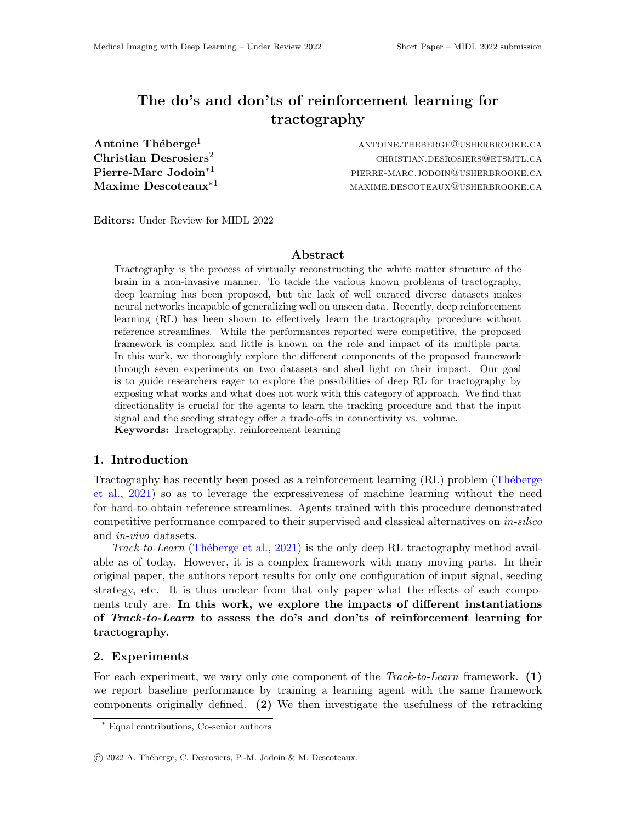# The do's and don'ts of reinforcement learning for tractography

**Antoine Théberge<sup>1</sup>** antoine.thebergement and the extreme  $\Lambda$  and  $\Lambda$  antoine.theberge@usherbrooke.ca **Christian Desrosiers**<sup>2</sup> christian.desrosiers@etsmtl.ca **Pierre-Marc Jodoin**<sup>\*1</sup> **pierre-marc.jodoin@usherbrooke.ca**  $\mathbf{Maxime\cdot Descoteaux}^{*1}$  maxime.descoteaux@usherbrooke.ca

Editors: Under Review for MIDL 2022

#### Abstract

Tractography is the process of virtually reconstructing the white matter structure of the brain in a non-invasive manner. To tackle the various known problems of tractography, deep learning has been proposed, but the lack of well curated diverse datasets makes neural networks incapable of generalizing well on unseen data. Recently, deep reinforcement learning (RL) has been shown to effectively learn the tractography procedure without reference streamlines. While the performances reported were competitive, the proposed framework is complex and little is known on the role and impact of its multiple parts. In this work, we thoroughly explore the different components of the proposed framework through seven experiments on two datasets and shed light on their impact. Our goal is to guide researchers eager to explore the possibilities of deep RL for tractography by exposing what works and what does not work with this category of approach. We find that directionality is crucial for the agents to learn the tracking procedure and that the input signal and the seeding strategy offer a trade-offs in connectivity vs. volume. Keywords: Tractography, reinforcement learning

## 1. Introduction

Tractography has recently been posed as a reinforcement learning (RL) problem (Théberge [et al.,](#page-2-0) [2021\)](#page-2-0) so as to leverage the expressiveness of machine learning without the need for hard-to-obtain reference streamlines. Agents trained with this procedure demonstrated competitive performance compared to their supervised and classical alternatives on in-silico and in-vivo datasets.

Track-to-Learn (Théberge et al., [2021\)](#page-2-0) is the only deep RL tractography method available as of today. However, it is a complex framework with many moving parts. In their original paper, the authors report results for only one configuration of input signal, seeding strategy, etc. It is thus unclear from that only paper what the effects of each components truly are. In this work, we explore the impacts of different instantiations of Track-to-Learn to assess the do's and don'ts of reinforcement learning for tractography.

#### 2. Experiments

For each experiment, we vary only one component of the  $\text{Track-to-Learn framework.}$  (1) we report baseline performance by training a learning agent with the same framework components originally defined. (2) We then investigate the usefulness of the retracking

<sup>∗</sup> Equal contributions, Co-senior authors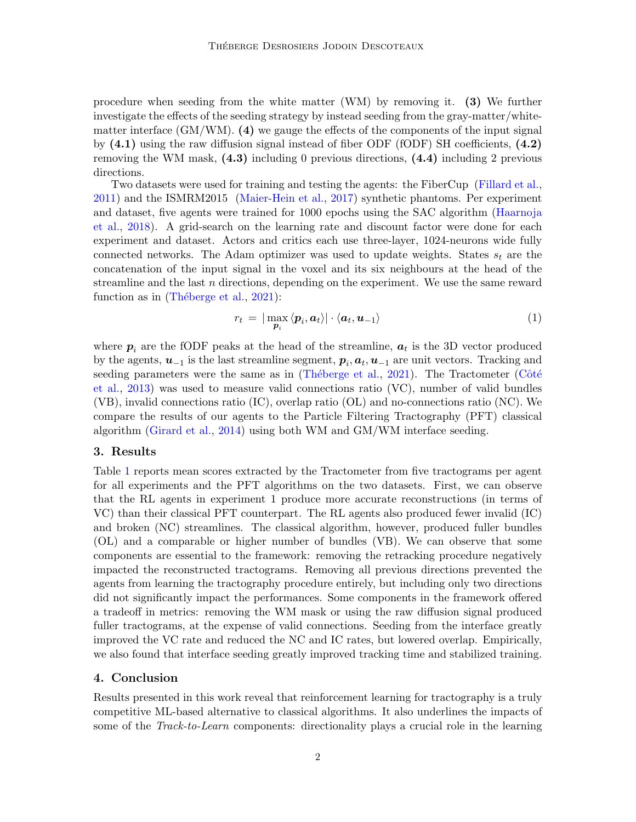procedure when seeding from the white matter (WM) by removing it. (3) We further investigate the effects of the seeding strategy by instead seeding from the gray-matter/whitematter interface  $(GM/WM)$ . (4) we gauge the effects of the components of the input signal by  $(4.1)$  using the raw diffusion signal instead of fiber ODF (fODF) SH coefficients,  $(4.2)$ removing the WM mask, (4.3) including 0 previous directions, (4.4) including 2 previous directions.

Two datasets were used for training and testing the agents: the FiberCup [\(Fillard et al.,](#page-2-1) [2011\)](#page-2-1) and the ISMRM2015 [\(Maier-Hein et al.,](#page-2-2) [2017\)](#page-2-2) synthetic phantoms. Per experiment and dataset, five agents were trained for 1000 epochs using the SAC algorithm [\(Haarnoja](#page-2-3) [et al.,](#page-2-3) [2018\)](#page-2-3). A grid-search on the learning rate and discount factor were done for each experiment and dataset. Actors and critics each use three-layer, 1024-neurons wide fully connected networks. The Adam optimizer was used to update weights. States  $s_t$  are the concatenation of the input signal in the voxel and its six neighbours at the head of the streamline and the last  $n$  directions, depending on the experiment. We use the same reward function as in  $(Théberge et al., 2021):$  $(Théberge et al., 2021):$  $(Théberge et al., 2021):$ 

$$
r_t = |\max_{\mathbf{p}_i} \langle \mathbf{p}_i, \mathbf{a}_t \rangle| \cdot \langle \mathbf{a}_t, \mathbf{u}_{-1} \rangle \tag{1}
$$

where  $p_i$  are the fODF peaks at the head of the streamline,  $a_t$  is the 3D vector produced by the agents,  $u_{-1}$  is the last streamline segment,  $p_i$ ,  $a_t$ ,  $u_{-1}$  are unit vectors. Tracking and seeding parameters were the same as in (Théberge et al., [2021\)](#page-2-0). The Tractometer (Côté [et al.,](#page-2-4) [2013\)](#page-2-4) was used to measure valid connections ratio (VC), number of valid bundles (VB), invalid connections ratio (IC), overlap ratio (OL) and no-connections ratio (NC). We compare the results of our agents to the Particle Filtering Tractography (PFT) classical algorithm [\(Girard et al.,](#page-2-5) [2014\)](#page-2-5) using both WM and GM/WM interface seeding.

### 3. Results

Table [1](#page-2-6) reports mean scores extracted by the Tractometer from five tractograms per agent for all experiments and the PFT algorithms on the two datasets. First, we can observe that the RL agents in experiment 1 produce more accurate reconstructions (in terms of VC) than their classical PFT counterpart. The RL agents also produced fewer invalid (IC) and broken (NC) streamlines. The classical algorithm, however, produced fuller bundles (OL) and a comparable or higher number of bundles (VB). We can observe that some components are essential to the framework: removing the retracking procedure negatively impacted the reconstructed tractograms. Removing all previous directions prevented the agents from learning the tractography procedure entirely, but including only two directions did not significantly impact the performances. Some components in the framework offered a tradeoff in metrics: removing the WM mask or using the raw diffusion signal produced fuller tractograms, at the expense of valid connections. Seeding from the interface greatly improved the VC rate and reduced the NC and IC rates, but lowered overlap. Empirically, we also found that interface seeding greatly improved tracking time and stabilized training.

#### 4. Conclusion

Results presented in this work reveal that reinforcement learning for tractography is a truly competitive ML-based alternative to classical algorithms. It also underlines the impacts of some of the *Track-to-Learn* components: directionality plays a crucial role in the learning